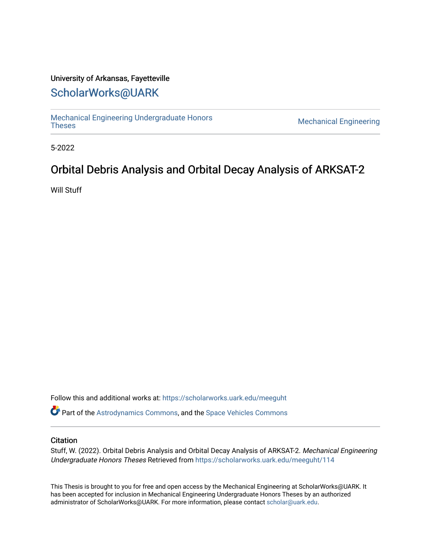### University of Arkansas, Fayetteville

# [ScholarWorks@UARK](https://scholarworks.uark.edu/)

[Mechanical Engineering Undergraduate Honors](https://scholarworks.uark.edu/meeguht)

**Mechanical Engineering** 

5-2022

# Orbital Debris Analysis and Orbital Decay Analysis of ARKSAT-2

Will Stuff

Follow this and additional works at: [https://scholarworks.uark.edu/meeguht](https://scholarworks.uark.edu/meeguht?utm_source=scholarworks.uark.edu%2Fmeeguht%2F114&utm_medium=PDF&utm_campaign=PDFCoverPages) 

Part of the [Astrodynamics Commons,](http://network.bepress.com/hgg/discipline/223?utm_source=scholarworks.uark.edu%2Fmeeguht%2F114&utm_medium=PDF&utm_campaign=PDFCoverPages) and the [Space Vehicles Commons](http://network.bepress.com/hgg/discipline/220?utm_source=scholarworks.uark.edu%2Fmeeguht%2F114&utm_medium=PDF&utm_campaign=PDFCoverPages) 

#### **Citation**

Stuff, W. (2022). Orbital Debris Analysis and Orbital Decay Analysis of ARKSAT-2. Mechanical Engineering Undergraduate Honors Theses Retrieved from [https://scholarworks.uark.edu/meeguht/114](https://scholarworks.uark.edu/meeguht/114?utm_source=scholarworks.uark.edu%2Fmeeguht%2F114&utm_medium=PDF&utm_campaign=PDFCoverPages)

This Thesis is brought to you for free and open access by the Mechanical Engineering at ScholarWorks@UARK. It has been accepted for inclusion in Mechanical Engineering Undergraduate Honors Theses by an authorized administrator of ScholarWorks@UARK. For more information, please contact [scholar@uark.edu](mailto:scholar@uark.edu).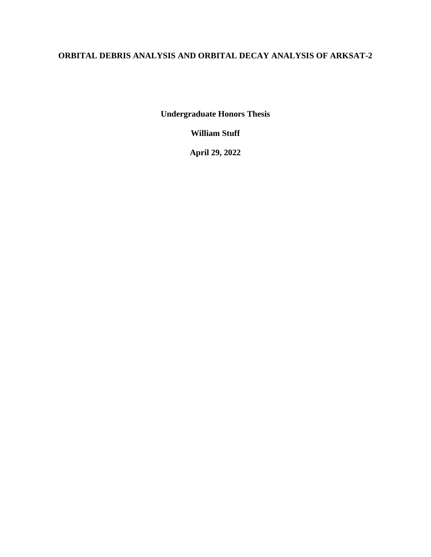# **ORBITAL DEBRIS ANALYSIS AND ORBITAL DECAY ANALYSIS OF ARKSAT-2**

**Undergraduate Honors Thesis**

**William Stuff**

**April 29, 2022**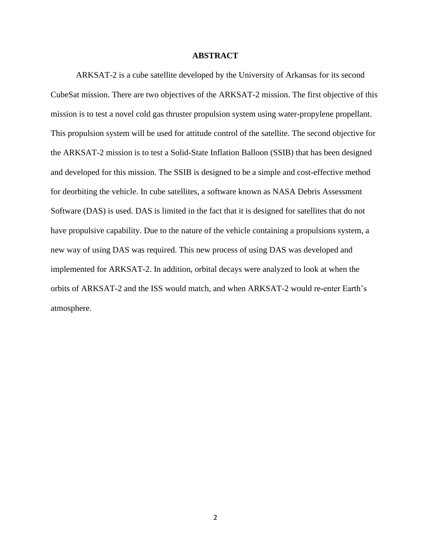#### **ABSTRACT**

ARKSAT-2 is a cube satellite developed by the University of Arkansas for its second CubeSat mission. There are two objectives of the ARKSAT-2 mission. The first objective of this mission is to test a novel cold gas thruster propulsion system using water-propylene propellant. This propulsion system will be used for attitude control of the satellite. The second objective for the ARKSAT-2 mission is to test a Solid-State Inflation Balloon (SSIB) that has been designed and developed for this mission. The SSIB is designed to be a simple and cost-effective method for deorbiting the vehicle. In cube satellites, a software known as NASA Debris Assessment Software (DAS) is used. DAS is limited in the fact that it is designed for satellites that do not have propulsive capability. Due to the nature of the vehicle containing a propulsions system, a new way of using DAS was required. This new process of using DAS was developed and implemented for ARKSAT-2. In addition, orbital decays were analyzed to look at when the orbits of ARKSAT-2 and the ISS would match, and when ARKSAT-2 would re-enter Earth's atmosphere.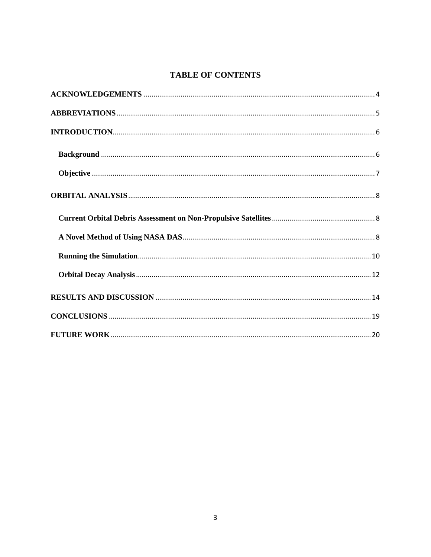# **TABLE OF CONTENTS**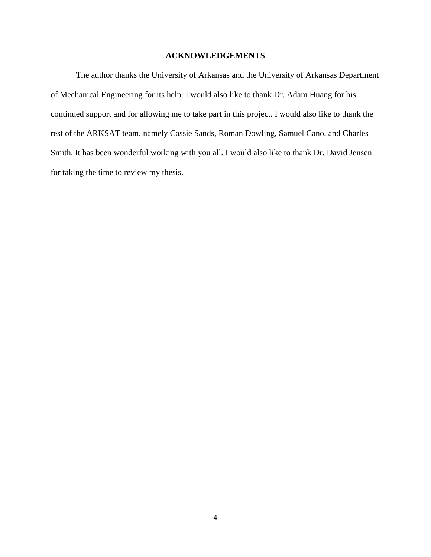#### **ACKNOWLEDGEMENTS**

<span id="page-4-0"></span>The author thanks the University of Arkansas and the University of Arkansas Department of Mechanical Engineering for its help. I would also like to thank Dr. Adam Huang for his continued support and for allowing me to take part in this project. I would also like to thank the rest of the ARKSAT team, namely Cassie Sands, Roman Dowling, Samuel Cano, and Charles Smith. It has been wonderful working with you all. I would also like to thank Dr. David Jensen for taking the time to review my thesis.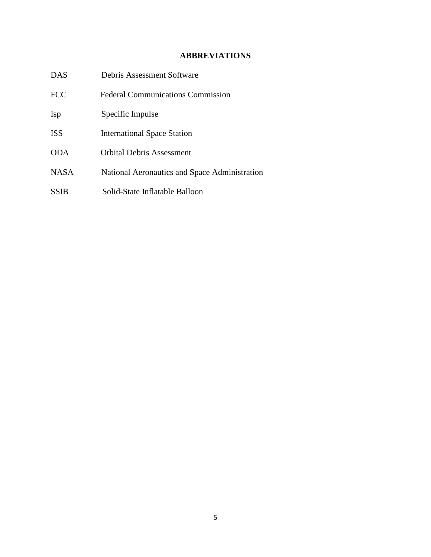## **ABBREVIATIONS**

<span id="page-5-0"></span>

| <b>DAS</b>  | Debris Assessment Software                    |
|-------------|-----------------------------------------------|
| <b>FCC</b>  | <b>Federal Communications Commission</b>      |
| <b>Isp</b>  | Specific Impulse                              |
| <b>ISS</b>  | <b>International Space Station</b>            |
| <b>ODA</b>  | <b>Orbital Debris Assessment</b>              |
| <b>NASA</b> | National Aeronautics and Space Administration |
| <b>SSIB</b> | Solid-State Inflatable Balloon                |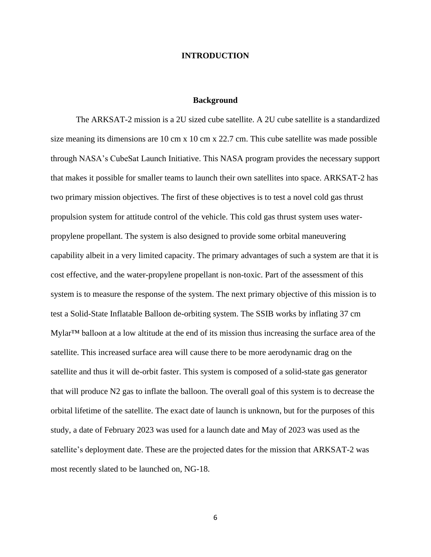#### **INTRODUCTION**

#### **Background**

<span id="page-6-1"></span><span id="page-6-0"></span>The ARKSAT-2 mission is a 2U sized cube satellite. A 2U cube satellite is a standardized size meaning its dimensions are 10 cm x 10 cm x 22.7 cm. This cube satellite was made possible through NASA's CubeSat Launch Initiative. This NASA program provides the necessary support that makes it possible for smaller teams to launch their own satellites into space. ARKSAT-2 has two primary mission objectives. The first of these objectives is to test a novel cold gas thrust propulsion system for attitude control of the vehicle. This cold gas thrust system uses waterpropylene propellant. The system is also designed to provide some orbital maneuvering capability albeit in a very limited capacity. The primary advantages of such a system are that it is cost effective, and the water-propylene propellant is non-toxic. Part of the assessment of this system is to measure the response of the system. The next primary objective of this mission is to test a Solid-State Inflatable Balloon de-orbiting system. The SSIB works by inflating 37 cm Mylar™ balloon at a low altitude at the end of its mission thus increasing the surface area of the satellite. This increased surface area will cause there to be more aerodynamic drag on the satellite and thus it will de-orbit faster. This system is composed of a solid-state gas generator that will produce N2 gas to inflate the balloon. The overall goal of this system is to decrease the orbital lifetime of the satellite. The exact date of launch is unknown, but for the purposes of this study, a date of February 2023 was used for a launch date and May of 2023 was used as the satellite's deployment date. These are the projected dates for the mission that ARKSAT-2 was most recently slated to be launched on, NG-18.

6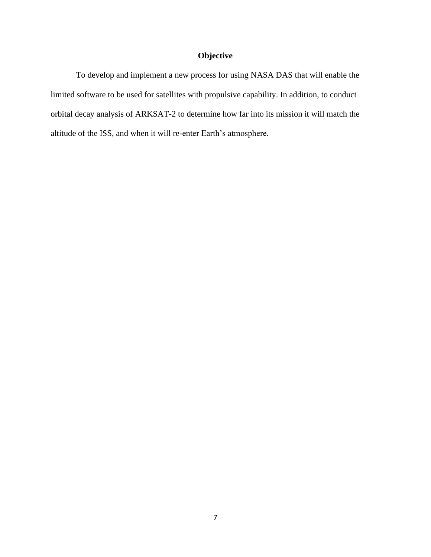## **Objective**

<span id="page-7-0"></span>To develop and implement a new process for using NASA DAS that will enable the limited software to be used for satellites with propulsive capability. In addition, to conduct orbital decay analysis of ARKSAT-2 to determine how far into its mission it will match the altitude of the ISS, and when it will re-enter Earth's atmosphere.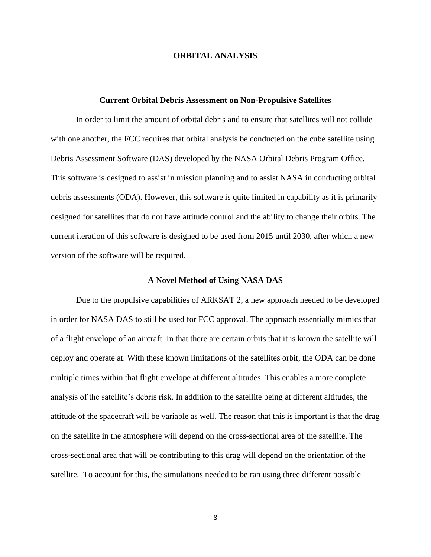#### **ORBITAL ANALYSIS**

#### **Current Orbital Debris Assessment on Non-Propulsive Satellites**

<span id="page-8-1"></span><span id="page-8-0"></span>In order to limit the amount of orbital debris and to ensure that satellites will not collide with one another, the FCC requires that orbital analysis be conducted on the cube satellite using Debris Assessment Software (DAS) developed by the NASA Orbital Debris Program Office. This software is designed to assist in mission planning and to assist NASA in conducting orbital debris assessments (ODA). However, this software is quite limited in capability as it is primarily designed for satellites that do not have attitude control and the ability to change their orbits. The current iteration of this software is designed to be used from 2015 until 2030, after which a new version of the software will be required.

#### **A Novel Method of Using NASA DAS**

<span id="page-8-2"></span>Due to the propulsive capabilities of ARKSAT 2, a new approach needed to be developed in order for NASA DAS to still be used for FCC approval. The approach essentially mimics that of a flight envelope of an aircraft. In that there are certain orbits that it is known the satellite will deploy and operate at. With these known limitations of the satellites orbit, the ODA can be done multiple times within that flight envelope at different altitudes. This enables a more complete analysis of the satellite's debris risk. In addition to the satellite being at different altitudes, the attitude of the spacecraft will be variable as well. The reason that this is important is that the drag on the satellite in the atmosphere will depend on the cross-sectional area of the satellite. The cross-sectional area that will be contributing to this drag will depend on the orientation of the satellite. To account for this, the simulations needed to be ran using three different possible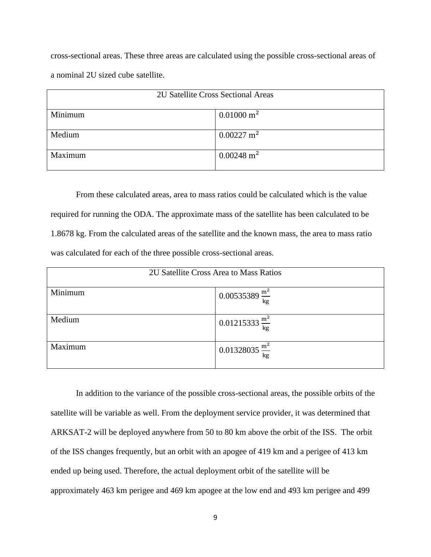cross-sectional areas. These three areas are calculated using the possible cross-sectional areas of a nominal 2U sized cube satellite.

| 2U Satellite Cross Sectional Areas |                       |  |  |  |  |
|------------------------------------|-----------------------|--|--|--|--|
| Minimum                            | $0.01000 \text{ m}^2$ |  |  |  |  |
| Medium                             | $0.00227 \text{ m}^2$ |  |  |  |  |
| Maximum                            | $0.00248 \text{ m}^2$ |  |  |  |  |

From these calculated areas, area to mass ratios could be calculated which is the value required for running the ODA. The approximate mass of the satellite has been calculated to be 1.8678 kg. From the calculated areas of the satellite and the known mass, the area to mass ratio was calculated for each of the three possible cross-sectional areas.

| 2U Satellite Cross Area to Mass Ratios |                             |  |  |  |  |
|----------------------------------------|-----------------------------|--|--|--|--|
| Minimum                                | 0.00535389 $\frac{m^2}{kg}$ |  |  |  |  |
| Medium                                 | $0.01215333 \frac{m^2}{kg}$ |  |  |  |  |
| Maximum                                | 0.01328035 $\frac{m^2}{kg}$ |  |  |  |  |

In addition to the variance of the possible cross-sectional areas, the possible orbits of the satellite will be variable as well. From the deployment service provider, it was determined that ARKSAT-2 will be deployed anywhere from 50 to 80 km above the orbit of the ISS. The orbit of the ISS changes frequently, but an orbit with an apogee of 419 km and a perigee of 413 km ended up being used. Therefore, the actual deployment orbit of the satellite will be approximately 463 km perigee and 469 km apogee at the low end and 493 km perigee and 499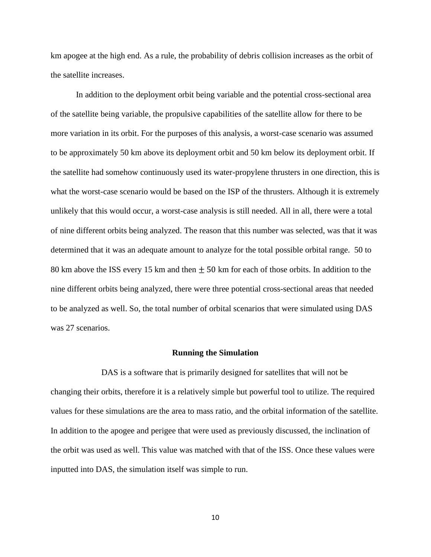km apogee at the high end. As a rule, the probability of debris collision increases as the orbit of the satellite increases.

In addition to the deployment orbit being variable and the potential cross-sectional area of the satellite being variable, the propulsive capabilities of the satellite allow for there to be more variation in its orbit. For the purposes of this analysis, a worst-case scenario was assumed to be approximately 50 km above its deployment orbit and 50 km below its deployment orbit. If the satellite had somehow continuously used its water-propylene thrusters in one direction, this is what the worst-case scenario would be based on the ISP of the thrusters. Although it is extremely unlikely that this would occur, a worst-case analysis is still needed. All in all, there were a total of nine different orbits being analyzed. The reason that this number was selected, was that it was determined that it was an adequate amount to analyze for the total possible orbital range. 50 to 80 km above the ISS every 15 km and then  $\pm$  50 km for each of those orbits. In addition to the nine different orbits being analyzed, there were three potential cross-sectional areas that needed to be analyzed as well. So, the total number of orbital scenarios that were simulated using DAS was 27 scenarios.

#### **Running the Simulation**

<span id="page-10-0"></span>DAS is a software that is primarily designed for satellites that will not be changing their orbits, therefore it is a relatively simple but powerful tool to utilize. The required values for these simulations are the area to mass ratio, and the orbital information of the satellite. In addition to the apogee and perigee that were used as previously discussed, the inclination of the orbit was used as well. This value was matched with that of the ISS. Once these values were inputted into DAS, the simulation itself was simple to run.

10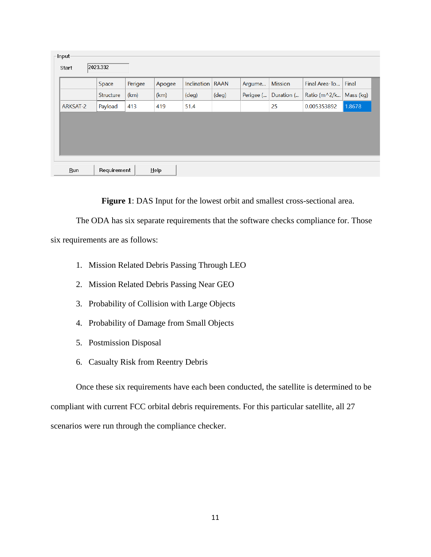| -Input-<br>Start | 2023.332    |         |        |                    |             |           |                |               |           |  |
|------------------|-------------|---------|--------|--------------------|-------------|-----------|----------------|---------------|-----------|--|
|                  | Space       | Perigee | Apogee | <b>Inclination</b> | <b>RAAN</b> | Argume    | <b>Mission</b> | Final Area-To | Final     |  |
|                  | Structure   | (km)    | (km)   | (deg)              | (deg)       | Perigee ( | Duration (     | Ratio (m^2/k  | Mass (kg) |  |
| ARKSAT-2         | Payload     | 413     | 419    | 51.4               |             |           | 25             | 0.005353892   | 1.8678    |  |
|                  |             |         |        |                    |             |           |                |               |           |  |
|                  |             |         |        |                    |             |           |                |               |           |  |
| Run              | Requirement |         | Help   |                    |             |           |                |               |           |  |

**Figure 1**: DAS Input for the lowest orbit and smallest cross-sectional area.

The ODA has six separate requirements that the software checks compliance for. Those

six requirements are as follows:

- 1. Mission Related Debris Passing Through LEO
- 2. Mission Related Debris Passing Near GEO
- 3. Probability of Collision with Large Objects
- 4. Probability of Damage from Small Objects
- 5. Postmission Disposal
- 6. Casualty Risk from Reentry Debris

Once these six requirements have each been conducted, the satellite is determined to be compliant with current FCC orbital debris requirements. For this particular satellite, all 27 scenarios were run through the compliance checker.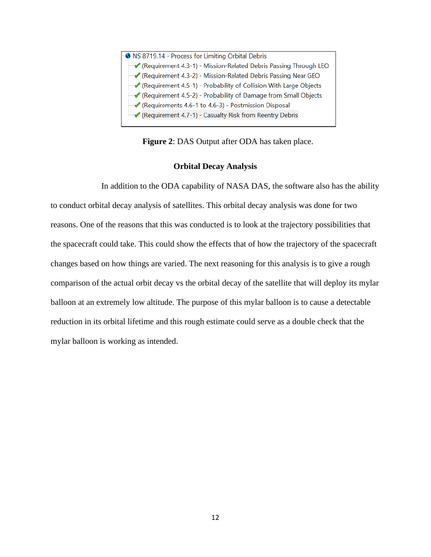

**Figure 2**: DAS Output after ODA has taken place.

### **Orbital Decay Analysis**

<span id="page-12-0"></span>In addition to the ODA capability of NASA DAS, the software also has the ability to conduct orbital decay analysis of satellites. This orbital decay analysis was done for two reasons. One of the reasons that this was conducted is to look at the trajectory possibilities that the spacecraft could take. This could show the effects that of how the trajectory of the spacecraft changes based on how things are varied. The next reasoning for this analysis is to give a rough comparison of the actual orbit decay vs the orbital decay of the satellite that will deploy its mylar balloon at an extremely low altitude. The purpose of this mylar balloon is to cause a detectable reduction in its orbital lifetime and this rough estimate could serve as a double check that the mylar balloon is working as intended.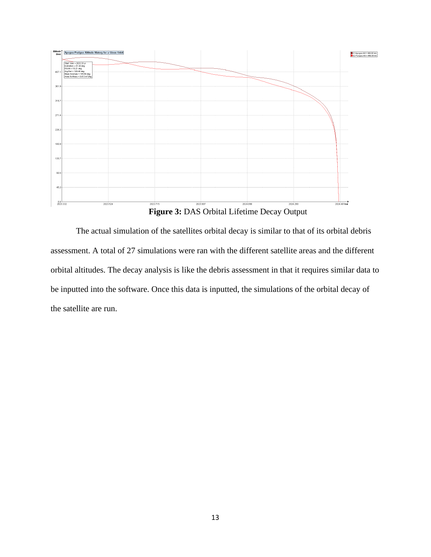



The actual simulation of the satellites orbital decay is similar to that of its orbital debris assessment. A total of 27 simulations were ran with the different satellite areas and the different orbital altitudes. The decay analysis is like the debris assessment in that it requires similar data to be inputted into the software. Once this data is inputted, the simulations of the orbital decay of the satellite are run.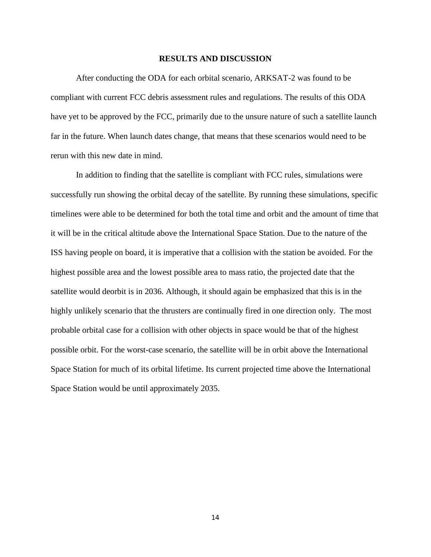#### **RESULTS AND DISCUSSION**

<span id="page-14-0"></span>After conducting the ODA for each orbital scenario, ARKSAT-2 was found to be compliant with current FCC debris assessment rules and regulations. The results of this ODA have yet to be approved by the FCC, primarily due to the unsure nature of such a satellite launch far in the future. When launch dates change, that means that these scenarios would need to be rerun with this new date in mind.

In addition to finding that the satellite is compliant with FCC rules, simulations were successfully run showing the orbital decay of the satellite. By running these simulations, specific timelines were able to be determined for both the total time and orbit and the amount of time that it will be in the critical altitude above the International Space Station. Due to the nature of the ISS having people on board, it is imperative that a collision with the station be avoided. For the highest possible area and the lowest possible area to mass ratio, the projected date that the satellite would deorbit is in 2036. Although, it should again be emphasized that this is in the highly unlikely scenario that the thrusters are continually fired in one direction only. The most probable orbital case for a collision with other objects in space would be that of the highest possible orbit. For the worst-case scenario, the satellite will be in orbit above the International Space Station for much of its orbital lifetime. Its current projected time above the International Space Station would be until approximately 2035.

14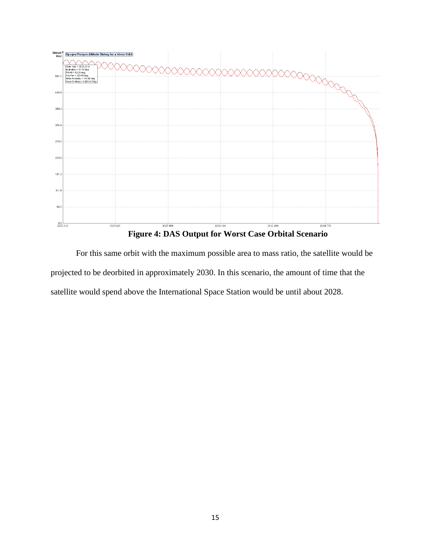

For this same orbit with the maximum possible area to mass ratio, the satellite would be projected to be deorbited in approximately 2030. In this scenario, the amount of time that the satellite would spend above the International Space Station would be until about 2028.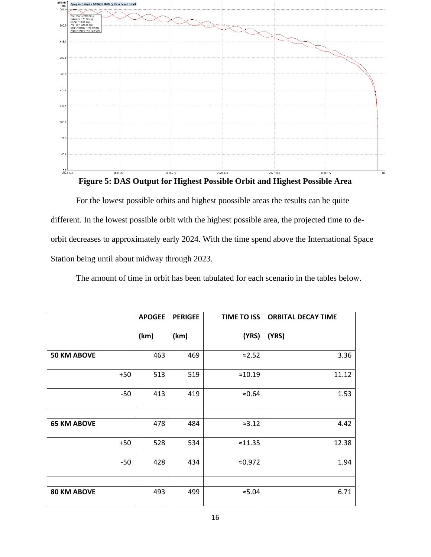



For the lowest possible orbits and highest poossible areas the results can be quite different. In the lowest possible orbit with the highest possible area, the projected time to deorbit decreases to approximately early 2024. With the time spend above the International Space Station being until about midway through 2023.

The amount of time in orbit has been tabulated for each scenario in the tables below.

|                    | <b>APOGEE</b> | <b>PERIGEE</b> | <b>TIME TO ISS</b> | <b>ORBITAL DECAY TIME</b> |
|--------------------|---------------|----------------|--------------------|---------------------------|
|                    | (km)          | (km)           | (YRS)              | (YRS)                     |
| <b>50 KM ABOVE</b> | 463           | 469            | $\approx$ 2.52     | 3.36                      |
| $+50$              | 513           | 519            | $\approx 10.19$    | 11.12                     |
| $-50$              | 413           | 419            | $\approx 0.64$     | 1.53                      |
|                    |               |                |                    |                           |
| <b>65 KM ABOVE</b> | 478           | 484            | $\approx 3.12$     | 4.42                      |
| $+50$              | 528           | 534            | $\approx 11.35$    | 12.38                     |
| $-50$              | 428           | 434            | $\approx 0.972$    | 1.94                      |
|                    |               |                |                    |                           |
| <b>80 KM ABOVE</b> | 493           | 499            | $\approx 5.04$     | 6.71                      |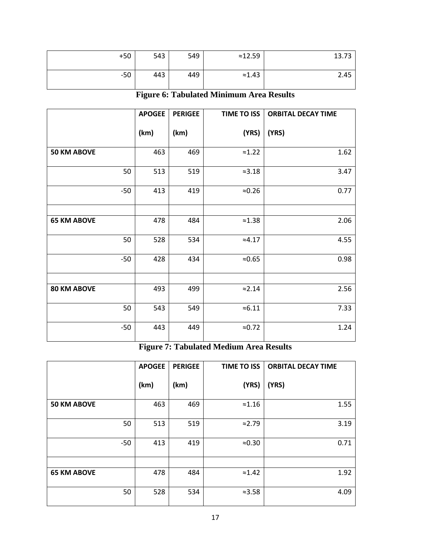| $+50$ | 543 | 549 | $\approx 12.59$ | 13.73 |
|-------|-----|-----|-----------------|-------|
| $-50$ | 443 | 449 | $\approx$ 1.43  | 2.45  |

**Figure 6: Tabulated Minimum Area Results**

|                    | <b>APOGEE</b> | <b>PERIGEE</b> | <b>TIME TO ISS</b> | <b>ORBITAL DECAY TIME</b> |
|--------------------|---------------|----------------|--------------------|---------------------------|
|                    | (km)          | (km)           | (YRS)              | (YRS)                     |
| <b>50 KM ABOVE</b> | 463           | 469            | $\approx$ 1.22     | 1.62                      |
| 50                 | 513           | 519            | $\approx$ 3.18     | 3.47                      |
| $-50$              | 413           | 419            | $\approx 0.26$     | 0.77                      |
|                    |               |                |                    |                           |
| <b>65 KM ABOVE</b> | 478           | 484            | $\approx$ 1.38     | 2.06                      |
| 50                 | 528           | 534            | $\approx 4.17$     | 4.55                      |
| $-50$              | 428           | 434            | $\approx 0.65$     | 0.98                      |
|                    |               |                |                    |                           |
| <b>80 KM ABOVE</b> | 493           | 499            | $\approx$ 2.14     | 2.56                      |
| 50                 | 543           | 549            | $\approx 6.11$     | 7.33                      |
| $-50$              | 443           | 449            | $\approx 0.72$     | 1.24                      |

# **Figure 7: Tabulated Medium Area Results**

|                    | <b>APOGEE</b> | <b>PERIGEE</b> | <b>TIME TO ISS</b> | <b>ORBITAL DECAY TIME</b> |
|--------------------|---------------|----------------|--------------------|---------------------------|
|                    | (km)          | (km)           | (YRS)              | (YRS)                     |
| <b>50 KM ABOVE</b> | 463           | 469            | $\approx$ 1.16     | 1.55                      |
| 50                 | 513           | 519            | $\approx 2.79$     | 3.19                      |
| $-50$              | 413           | 419            | $\approx 0.30$     | 0.71                      |
|                    |               |                |                    |                           |
| <b>65 KM ABOVE</b> | 478           | 484            | $\approx$ 1.42     | 1.92                      |
| 50                 | 528           | 534            | $\approx$ 3.58     | 4.09                      |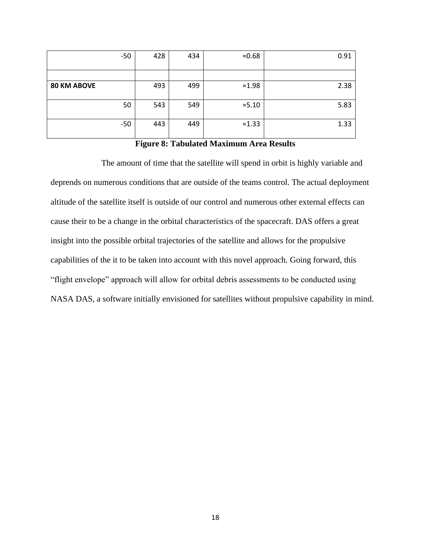|                    | $-50$ | 428 | 434 | $\approx 0.68$ | 0.91 |
|--------------------|-------|-----|-----|----------------|------|
|                    |       |     |     |                |      |
| <b>80 KM ABOVE</b> |       | 493 | 499 | $\approx$ 1.98 | 2.38 |
|                    | 50    | 543 | 549 | $\approx 5.10$ | 5.83 |
|                    | $-50$ | 443 | 449 | $\approx$ 1.33 | 1.33 |

## **Figure 8: Tabulated Maximum Area Results**

The amount of time that the satellite will spend in orbit is highly variable and deprends on numerous conditions that are outside of the teams control. The actual deployment altitude of the satellite itself is outside of our control and numerous other external effects can cause their to be a change in the orbital characteristics of the spacecraft. DAS offers a great insight into the possible orbital trajectories of the satellite and allows for the propulsive capabilities of the it to be taken into account with this novel approach. Going forward, this "flight envelope" approach will allow for orbital debris assessments to be conducted using NASA DAS, a software initially envisioned for satellites without propulsive capability in mind.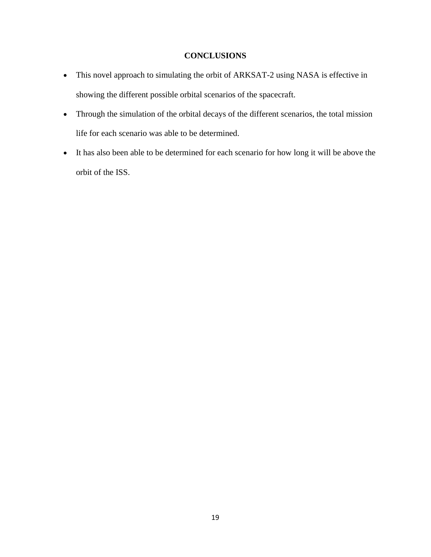## **CONCLUSIONS**

- <span id="page-19-0"></span>• This novel approach to simulating the orbit of ARKSAT-2 using NASA is effective in showing the different possible orbital scenarios of the spacecraft.
- Through the simulation of the orbital decays of the different scenarios, the total mission life for each scenario was able to be determined.
- It has also been able to be determined for each scenario for how long it will be above the orbit of the ISS.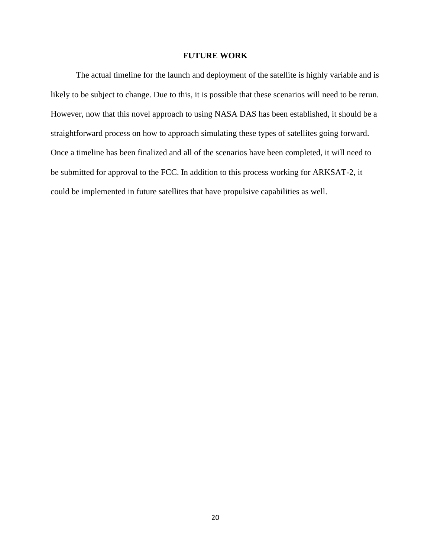#### **FUTURE WORK**

<span id="page-20-0"></span>The actual timeline for the launch and deployment of the satellite is highly variable and is likely to be subject to change. Due to this, it is possible that these scenarios will need to be rerun. However, now that this novel approach to using NASA DAS has been established, it should be a straightforward process on how to approach simulating these types of satellites going forward. Once a timeline has been finalized and all of the scenarios have been completed, it will need to be submitted for approval to the FCC. In addition to this process working for ARKSAT-2, it could be implemented in future satellites that have propulsive capabilities as well.